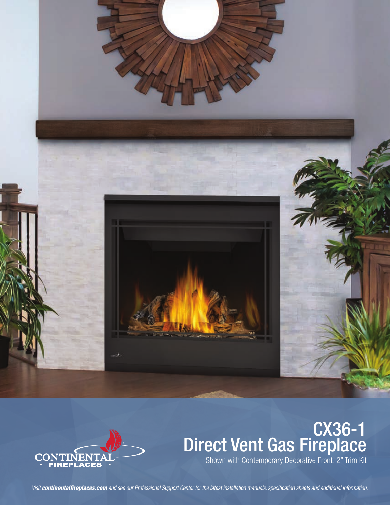



# **CX36-1**<br>Direct Vent Gas Fireplace

Visit continentalfireplaces.com and see our Professional Support Center for the latest installation manuals, specification sheets and additional information.